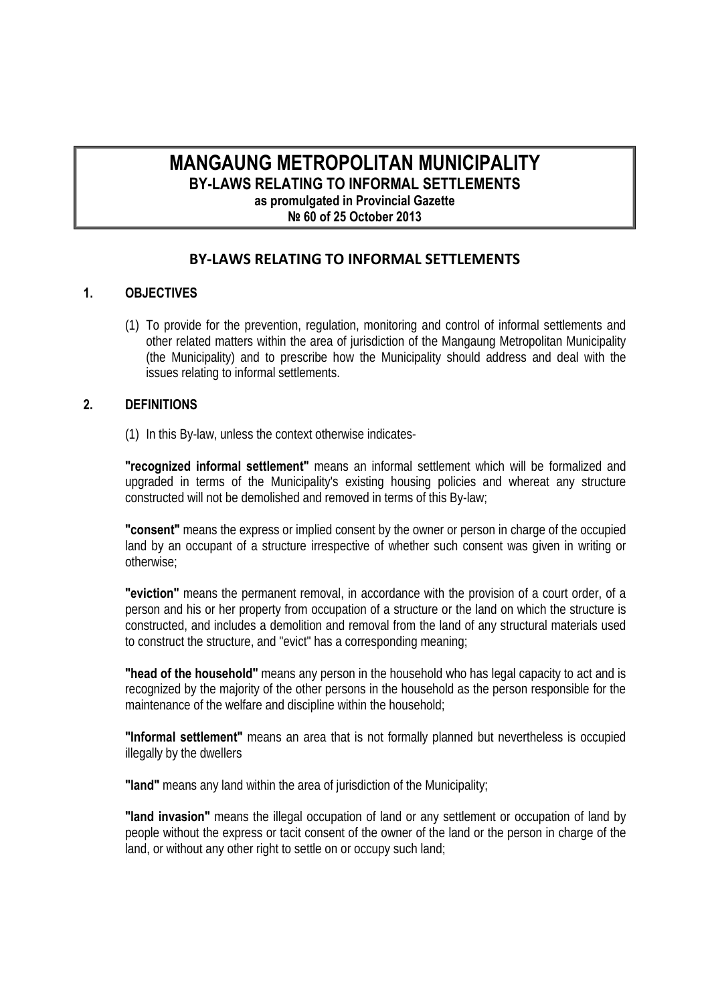# **MANGAUNG METROPOLITAN MUNICIPALITY BY-LAWS RELATING TO INFORMAL SETTLEMENTS as promulgated in Provincial Gazette № 60 of 25 October 2013**

# **BY‐LAWS RELATING TO INFORMAL SETTLEMENTS**

# **1. OBJECTIVES**

(1) To provide for the prevention, regulation, monitoring and control of informal settlements and other related matters within the area of jurisdiction of the Mangaung Metropolitan Municipality (the Municipality) and to prescribe how the Municipality should address and deal with the issues relating to informal settlements.

#### **2. DEFINITIONS**

(1) In this By-law, unless the context otherwise indicates-

**"recognized informal settlement"** means an informal settlement which will be formalized and upgraded in terms of the Municipality's existing housing policies and whereat any structure constructed will not be demolished and removed in terms of this By-law;

**"consent"** means the express or implied consent by the owner or person in charge of the occupied land by an occupant of a structure irrespective of whether such consent was given in writing or otherwise;

**"eviction"** means the permanent removal, in accordance with the provision of a court order, of a person and his or her property from occupation of a structure or the land on which the structure is constructed, and includes a demolition and removal from the land of any structural materials used to construct the structure, and "evict" has a corresponding meaning;

**"head of the household"** means any person in the household who has legal capacity to act and is recognized by the majority of the other persons in the household as the person responsible for the maintenance of the welfare and discipline within the household;

**"Informal settlement"** means an area that is not formally planned but nevertheless is occupied illegally by the dwellers

**"land"** means any land within the area of jurisdiction of the Municipality;

**"land invasion"** means the illegal occupation of land or any settlement or occupation of land by people without the express or tacit consent of the owner of the land or the person in charge of the land, or without any other right to settle on or occupy such land;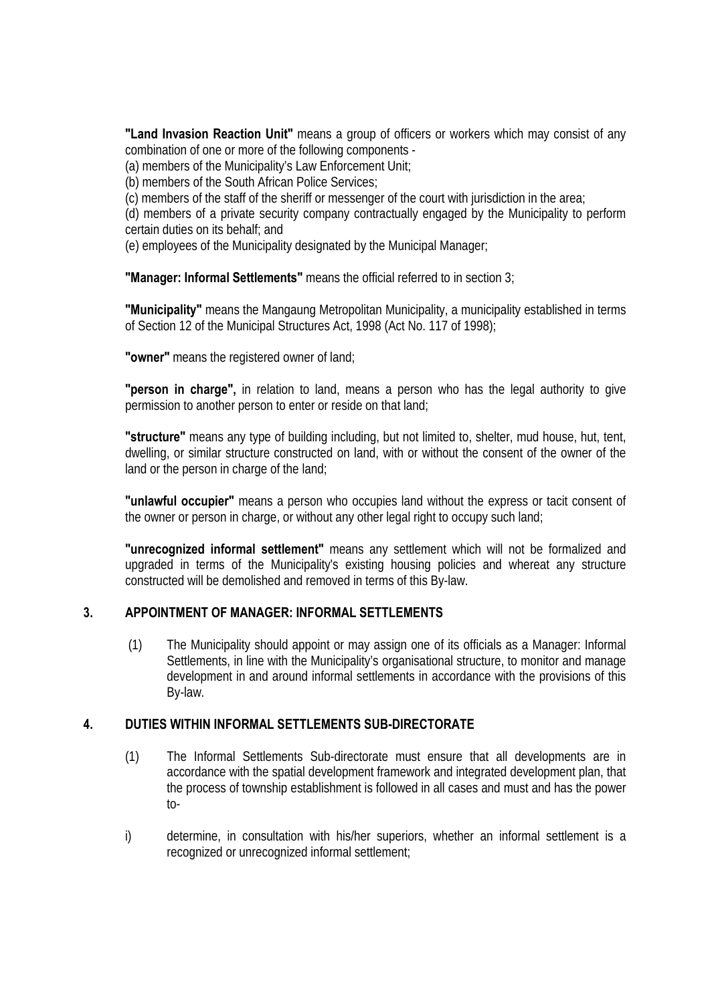**"Land Invasion Reaction Unit"** means a group of officers or workers which may consist of any combination of one or more of the following components -

(a) members of the Municipality's Law Enforcement Unit;

(b) members of the South African Police Services;

(c) members of the staff of the sheriff or messenger of the court with jurisdiction in the area;

(d) members of a private security company contractually engaged by the Municipality to perform certain duties on its behalf; and

(e) employees of the Municipality designated by the Municipal Manager;

**"Manager: Informal Settlements"** means the official referred to in section 3;

**"Municipality"** means the Mangaung Metropolitan Municipality, a municipality established in terms of Section 12 of the Municipal Structures Act, 1998 (Act No. 117 of 1998);

**"owner"** means the registered owner of land;

**"person in charge",** in relation to land, means a person who has the legal authority to give permission to another person to enter or reside on that land;

**"structure"** means any type of building including, but not limited to, shelter, mud house, hut, tent, dwelling, or similar structure constructed on land, with or without the consent of the owner of the land or the person in charge of the land;

**"unlawful occupier"** means a person who occupies land without the express or tacit consent of the owner or person in charge, or without any other legal right to occupy such land;

**"unrecognized informal settlement"** means any settlement which will not be formalized and upgraded in terms of the Municipality's existing housing policies and whereat any structure constructed will be demolished and removed in terms of this By-law.

#### **3. APPOINTMENT OF MANAGER: INFORMAL SETTLEMENTS**

 (1) The Municipality should appoint or may assign one of its officials as a Manager: Informal Settlements, in line with the Municipality's organisational structure, to monitor and manage development in and around informal settlements in accordance with the provisions of this By-law.

#### **4. DUTIES WITHIN INFORMAL SETTLEMENTS SUB-DIRECTORATE**

- (1) The Informal Settlements Sub-directorate must ensure that all developments are in accordance with the spatial development framework and integrated development plan, that the process of township establishment is followed in all cases and must and has the power to-
- i) determine, in consultation with his/her superiors, whether an informal settlement is a recognized or unrecognized informal settlement;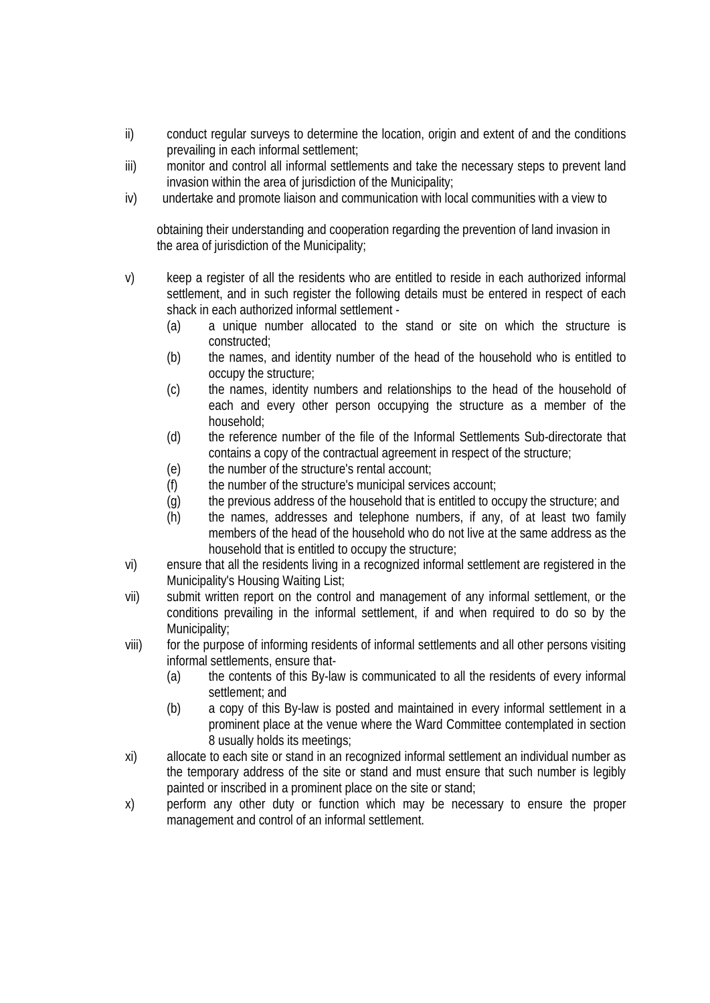- ii) conduct regular surveys to determine the location, origin and extent of and the conditions prevailing in each informal settlement;
- iii) monitor and control all informal settlements and take the necessary steps to prevent land invasion within the area of jurisdiction of the Municipality;
- iv) undertake and promote liaison and communication with local communities with a view to

 obtaining their understanding and cooperation regarding the prevention of land invasion in the area of jurisdiction of the Municipality;

- v) keep a register of all the residents who are entitled to reside in each authorized informal settlement, and in such register the following details must be entered in respect of each shack in each authorized informal settlement -
	- (a) a unique number allocated to the stand or site on which the structure is constructed;
	- (b) the names, and identity number of the head of the household who is entitled to occupy the structure;
	- (c) the names, identity numbers and relationships to the head of the household of each and every other person occupying the structure as a member of the household;
	- (d) the reference number of the file of the Informal Settlements Sub-directorate that contains a copy of the contractual agreement in respect of the structure;
	- (e) the number of the structure's rental account;
	- (f) the number of the structure's municipal services account;
	- (g) the previous address of the household that is entitled to occupy the structure; and
	- (h) the names, addresses and telephone numbers, if any, of at least two family members of the head of the household who do not live at the same address as the household that is entitled to occupy the structure;
- vi) ensure that all the residents living in a recognized informal settlement are registered in the Municipality's Housing Waiting List;
- vii) submit written report on the control and management of any informal settlement, or the conditions prevailing in the informal settlement, if and when required to do so by the Municipality;
- viii) for the purpose of informing residents of informal settlements and all other persons visiting informal settlements, ensure that-
	- (a) the contents of this By-law is communicated to all the residents of every informal settlement; and
	- (b) a copy of this By-law is posted and maintained in every informal settlement in a prominent place at the venue where the Ward Committee contemplated in section 8 usually holds its meetings;
- xi) allocate to each site or stand in an recognized informal settlement an individual number as the temporary address of the site or stand and must ensure that such number is legibly painted or inscribed in a prominent place on the site or stand;
- x) perform any other duty or function which may be necessary to ensure the proper management and control of an informal settlement.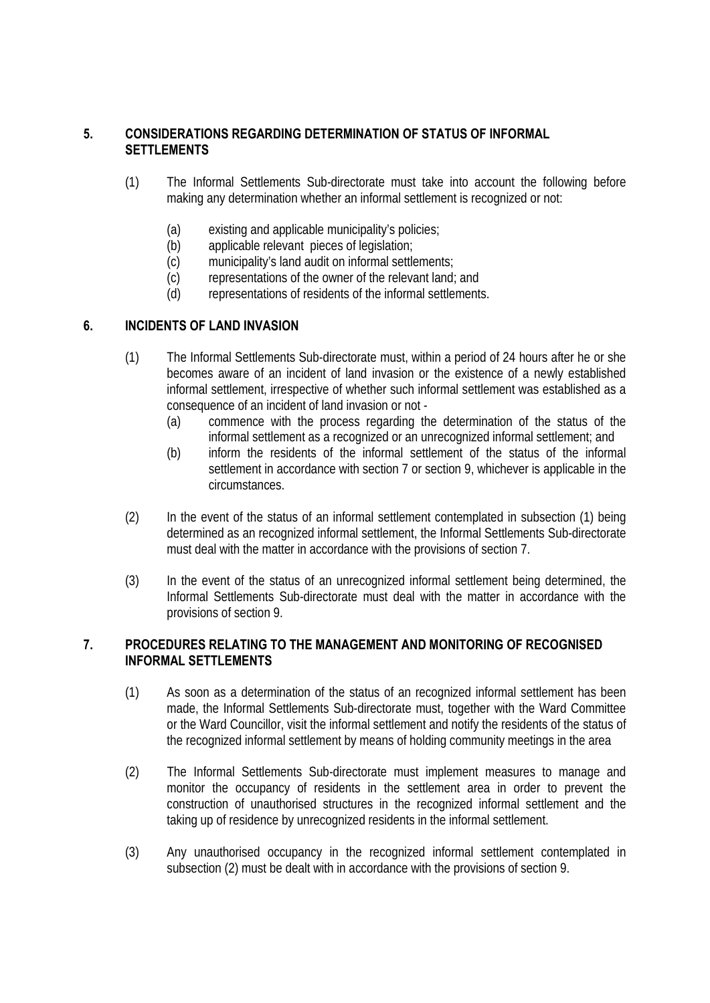## **5. CONSIDERATIONS REGARDING DETERMINATION OF STATUS OF INFORMAL SETTLEMENTS**

- (1) The Informal Settlements Sub-directorate must take into account the following before making any determination whether an informal settlement is recognized or not:
	- (a) existing and applicable municipality's policies;
	- (b) applicable relevant pieces of legislation;
	- (c) municipality's land audit on informal settlements;
	- (c) representations of the owner of the relevant land; and
	- (d) representations of residents of the informal settlements.

## **6. INCIDENTS OF LAND INVASION**

- (1) The Informal Settlements Sub-directorate must, within a period of 24 hours after he or she becomes aware of an incident of land invasion or the existence of a newly established informal settlement, irrespective of whether such informal settlement was established as a consequence of an incident of land invasion or not -
	- (a) commence with the process regarding the determination of the status of the informal settlement as a recognized or an unrecognized informal settlement; and
	- (b) inform the residents of the informal settlement of the status of the informal settlement in accordance with section 7 or section 9, whichever is applicable in the circumstances.
- (2) In the event of the status of an informal settlement contemplated in subsection (1) being determined as an recognized informal settlement, the Informal Settlements Sub-directorate must deal with the matter in accordance with the provisions of section 7.
- (3) In the event of the status of an unrecognized informal settlement being determined, the Informal Settlements Sub-directorate must deal with the matter in accordance with the provisions of section 9.

## **7. PROCEDURES RELATING TO THE MANAGEMENT AND MONITORING OF RECOGNISED INFORMAL SETTLEMENTS**

- (1) As soon as a determination of the status of an recognized informal settlement has been made, the Informal Settlements Sub-directorate must, together with the Ward Committee or the Ward Councillor, visit the informal settlement and notify the residents of the status of the recognized informal settlement by means of holding community meetings in the area
- (2) The Informal Settlements Sub-directorate must implement measures to manage and monitor the occupancy of residents in the settlement area in order to prevent the construction of unauthorised structures in the recognized informal settlement and the taking up of residence by unrecognized residents in the informal settlement.
- (3) Any unauthorised occupancy in the recognized informal settlement contemplated in subsection (2) must be dealt with in accordance with the provisions of section 9.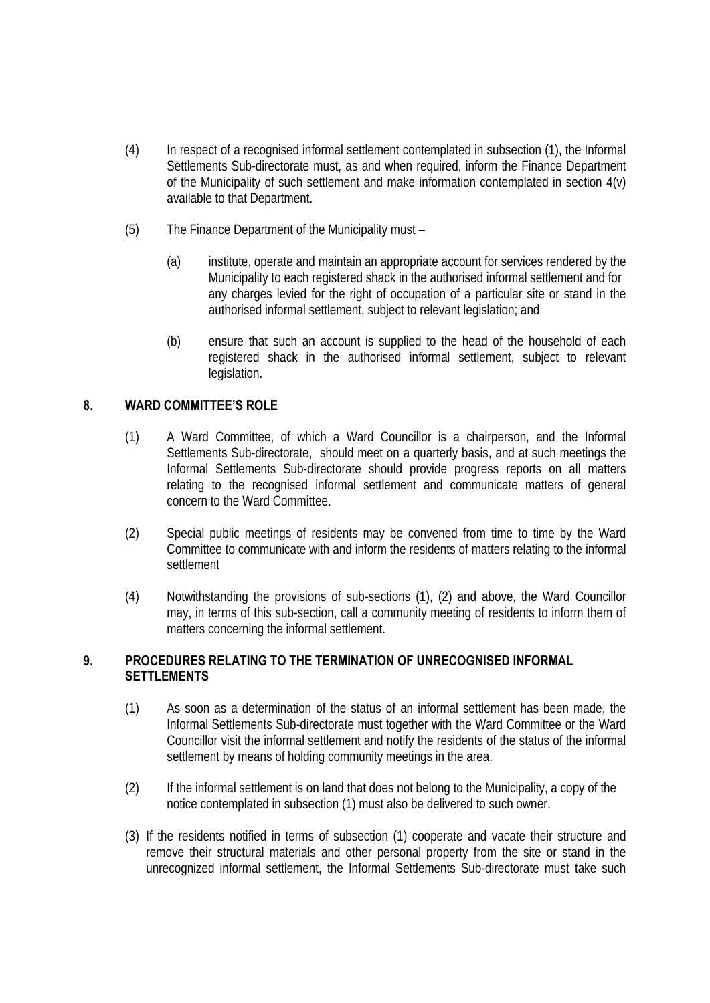- (4) In respect of a recognised informal settlement contemplated in subsection (1), the Informal Settlements Sub-directorate must, as and when required, inform the Finance Department of the Municipality of such settlement and make information contemplated in section 4(v) available to that Department.
- (5) The Finance Department of the Municipality must
	- (a) institute, operate and maintain an appropriate account for services rendered by the Municipality to each registered shack in the authorised informal settlement and for any charges levied for the right of occupation of a particular site or stand in the authorised informal settlement, subject to relevant legislation; and
	- (b) ensure that such an account is supplied to the head of the household of each registered shack in the authorised informal settlement, subject to relevant legislation.

## **8. WARD COMMITTEE'S ROLE**

- (1) A Ward Committee, of which a Ward Councillor is a chairperson, and the Informal Settlements Sub-directorate, should meet on a quarterly basis, and at such meetings the Informal Settlements Sub-directorate should provide progress reports on all matters relating to the recognised informal settlement and communicate matters of general concern to the Ward Committee.
- (2) Special public meetings of residents may be convened from time to time by the Ward Committee to communicate with and inform the residents of matters relating to the informal settlement
- (4) Notwithstanding the provisions of sub-sections (1), (2) and above, the Ward Councillor may, in terms of this sub-section, call a community meeting of residents to inform them of matters concerning the informal settlement.

## **9. PROCEDURES RELATING TO THE TERMINATION OF UNRECOGNISED INFORMAL SETTLEMENTS**

- (1) As soon as a determination of the status of an informal settlement has been made, the Informal Settlements Sub-directorate must together with the Ward Committee or the Ward Councillor visit the informal settlement and notify the residents of the status of the informal settlement by means of holding community meetings in the area.
- (2) If the informal settlement is on land that does not belong to the Municipality, a copy of the notice contemplated in subsection (1) must also be delivered to such owner.
- (3) If the residents notified in terms of subsection (1) cooperate and vacate their structure and remove their structural materials and other personal property from the site or stand in the unrecognized informal settlement, the Informal Settlements Sub-directorate must take such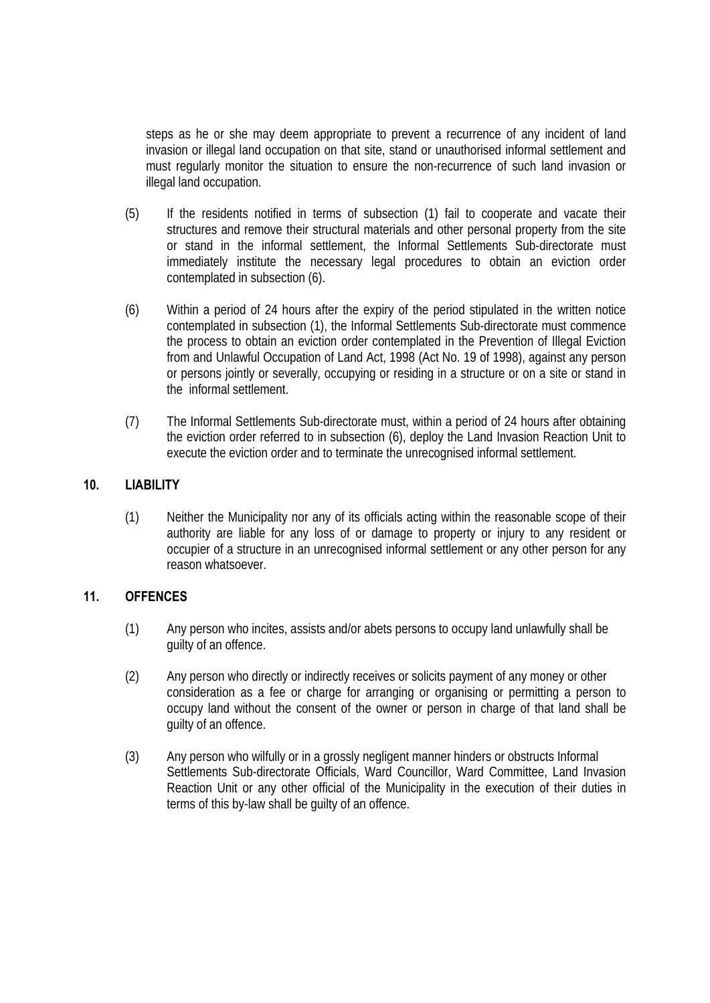steps as he or she may deem appropriate to prevent a recurrence of any incident of land invasion or illegal land occupation on that site, stand or unauthorised informal settlement and must regularly monitor the situation to ensure the non-recurrence of such land invasion or illegal land occupation.

- (5) If the residents notified in terms of subsection (1) fail to cooperate and vacate their structures and remove their structural materials and other personal property from the site or stand in the informal settlement, the Informal Settlements Sub-directorate must immediately institute the necessary legal procedures to obtain an eviction order contemplated in subsection (6).
- (6) Within a period of 24 hours after the expiry of the period stipulated in the written notice contemplated in subsection (1), the Informal Settlements Sub-directorate must commence the process to obtain an eviction order contemplated in the Prevention of Illegal Eviction from and Unlawful Occupation of Land Act, 1998 (Act No. 19 of 1998), against any person or persons jointly or severally, occupying or residing in a structure or on a site or stand in the informal settlement.
- (7) The Informal Settlements Sub-directorate must, within a period of 24 hours after obtaining the eviction order referred to in subsection (6), deploy the Land Invasion Reaction Unit to execute the eviction order and to terminate the unrecognised informal settlement.

# **10. LIABILITY**

(1) Neither the Municipality nor any of its officials acting within the reasonable scope of their authority are liable for any loss of or damage to property or injury to any resident or occupier of a structure in an unrecognised informal settlement or any other person for any reason whatsoever.

#### **11. OFFENCES**

- (1) Any person who incites, assists and/or abets persons to occupy land unlawfully shall be guilty of an offence.
- (2) Any person who directly or indirectly receives or solicits payment of any money or other consideration as a fee or charge for arranging or organising or permitting a person to occupy land without the consent of the owner or person in charge of that land shall be quilty of an offence.
- (3) Any person who wilfully or in a grossly negligent manner hinders or obstructs Informal Settlements Sub-directorate Officials, Ward Councillor, Ward Committee, Land Invasion Reaction Unit or any other official of the Municipality in the execution of their duties in terms of this by-law shall be guilty of an offence.